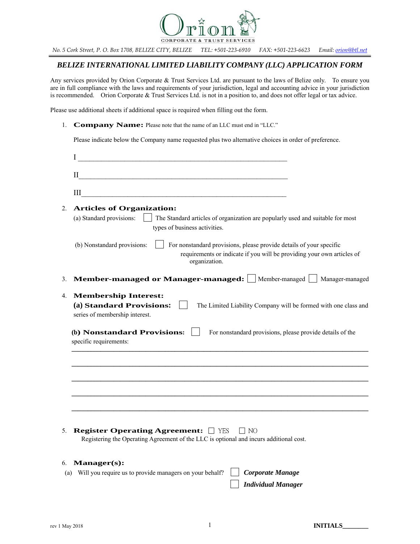

*No. 5 Cork Street, P. O. Box 1708, BELIZE CITY, BELIZE TEL: +501-223-6910 FAX: +501-223-6623 Email: orion@btl.net*

# *BELIZE INTERNATIONAL LIMITED LIABILITY COMPANY (LLC) APPLICATION FORM*

Any services provided by Orion Corporate & Trust Services Ltd. are pursuant to the laws of Belize only. To ensure you are in full compliance with the laws and requirements of your jurisdiction, legal and accounting advice in your jurisdiction is recommended. Orion Corporate & Trust Services Ltd. is not in a position to, and does not offer legal or tax advice.

Please use additional sheets if additional space is required when filling out the form.

1. **Company Name:** Please note that the name of an LLC must end in "LLC."

Please indicate below the Company name requested plus two alternative choices in order of preference.

|     | I                                                                                                                                                                                             |
|-----|-----------------------------------------------------------------------------------------------------------------------------------------------------------------------------------------------|
|     | $\mathbf{I}$                                                                                                                                                                                  |
|     | Ш<br><u> 1980 - Jan Stein Stein, fransk politik forsk politik (f. 1980)</u>                                                                                                                   |
| 2.  | <b>Articles of Organization:</b><br>(a) Standard provisions:<br>The Standard articles of organization are popularly used and suitable for most<br>types of business activities.               |
|     | (b) Nonstandard provisions:<br>For nonstandard provisions, please provide details of your specific<br>requirements or indicate if you will be providing your own articles of<br>organization. |
| 3.  | Member-managed or Manager-managed:   Member-managed   Manager-managed                                                                                                                         |
| 4.  | <b>Membership Interest:</b><br>(a) Standard Provisions:<br>The Limited Liability Company will be formed with one class and<br>series of membership interest.                                  |
|     | (b) Nonstandard Provisions:<br>For nonstandard provisions, please provide details of the<br>specific requirements:                                                                            |
|     |                                                                                                                                                                                               |
|     |                                                                                                                                                                                               |
|     |                                                                                                                                                                                               |
|     |                                                                                                                                                                                               |
| 5.  | <b>Register Operating Agreement:</b> 7ES<br>$\perp$ NO<br>Registering the Operating Agreement of the LLC is optional and incurs additional cost.                                              |
| 6.  | Manager(s):                                                                                                                                                                                   |
| (a) | Will you require us to provide managers on your behalf?<br><b>Corporate Manage</b>                                                                                                            |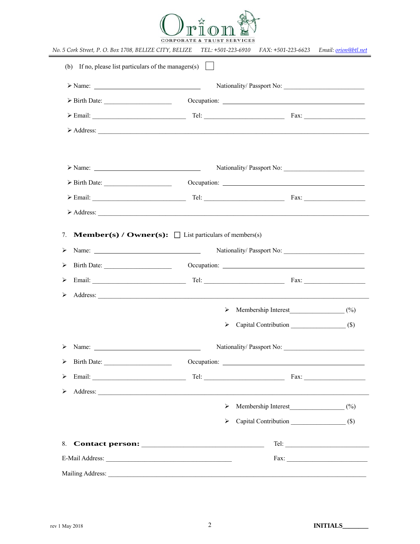

|                                                                                             | Nationality/Passport No:<br>> Birth Date: 0ccupation: 0ccupation: 0.000 0.000 0.000 0.000 0.000 0.000 0.000 0.000 0.000 0.000 0.000 0.000 0.000 0.000 0.000 0.000 0.000 0.000 0.000 0.000 0.000 0.000 0.000 0.000 0.000 0.000 0.000 0.000 0.000 0.000 0.00 |                                         |                       |                           |                              |  |  |
|---------------------------------------------------------------------------------------------|------------------------------------------------------------------------------------------------------------------------------------------------------------------------------------------------------------------------------------------------------------|-----------------------------------------|-----------------------|---------------------------|------------------------------|--|--|
|                                                                                             |                                                                                                                                                                                                                                                            |                                         |                       |                           |                              |  |  |
|                                                                                             | Address: <u>Address</u> : Address: Address: Address: Address: Address: Address: Address: Address: Address: Address: Address: Address: Address: Address: Address: Address: Address: Address: Address: Address: Address: Address: Addr                       |                                         |                       |                           |                              |  |  |
|                                                                                             |                                                                                                                                                                                                                                                            |                                         |                       |                           |                              |  |  |
|                                                                                             |                                                                                                                                                                                                                                                            |                                         |                       | Nationality/Passport No:  |                              |  |  |
|                                                                                             | $\triangleright$ Birth Date:                                                                                                                                                                                                                               |                                         |                       |                           |                              |  |  |
|                                                                                             |                                                                                                                                                                                                                                                            |                                         |                       |                           |                              |  |  |
|                                                                                             |                                                                                                                                                                                                                                                            |                                         |                       |                           |                              |  |  |
|                                                                                             | Birth Date:                                                                                                                                                                                                                                                |                                         |                       |                           |                              |  |  |
| ⋗                                                                                           |                                                                                                                                                                                                                                                            |                                         |                       |                           |                              |  |  |
|                                                                                             |                                                                                                                                                                                                                                                            |                                         |                       |                           |                              |  |  |
|                                                                                             |                                                                                                                                                                                                                                                            |                                         |                       |                           |                              |  |  |
|                                                                                             |                                                                                                                                                                                                                                                            |                                         | ➤                     |                           |                              |  |  |
|                                                                                             |                                                                                                                                                                                                                                                            |                                         | ⋗                     | Capital Contribution (\$) |                              |  |  |
|                                                                                             |                                                                                                                                                                                                                                                            |                                         |                       |                           |                              |  |  |
|                                                                                             | Birth Date:                                                                                                                                                                                                                                                |                                         |                       |                           |                              |  |  |
|                                                                                             |                                                                                                                                                                                                                                                            | $\begin{tabular}{c} Tel: \end{tabular}$ |                       |                           | $\text{Fax:}\n\qquad \qquad$ |  |  |
|                                                                                             |                                                                                                                                                                                                                                                            |                                         |                       |                           |                              |  |  |
| ⋗<br>$\blacktriangleright$<br>≻<br>⋗<br>$\blacktriangleright$<br>≻<br>$\blacktriangleright$ |                                                                                                                                                                                                                                                            |                                         | $\blacktriangleright$ | Membership Interest (%)   |                              |  |  |
|                                                                                             |                                                                                                                                                                                                                                                            |                                         | ⋗                     |                           |                              |  |  |
| 8.                                                                                          |                                                                                                                                                                                                                                                            |                                         |                       |                           |                              |  |  |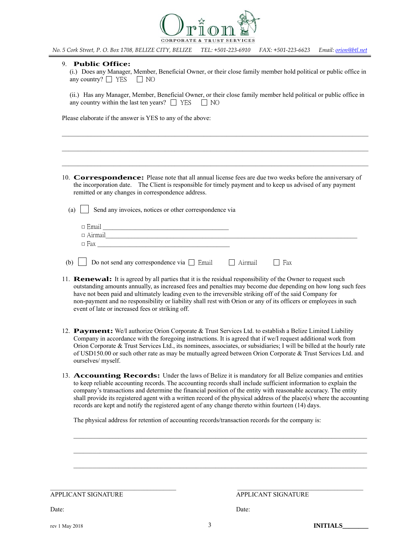

*No. 5 Cork Street, P. O. Box 1708, BELIZE CITY, BELIZE TEL: +501-223-6910 FAX: +501-223-6623 Email: orion@btl.net*

### 9. **Public Office:**

(i.) Does any Manager, Member, Beneficial Owner, or their close family member hold political or public office in any country?  $\Box$  YES  $\Box$  NO

(ii.) Has any Manager, Member, Beneficial Owner, or their close family member held political or public office in any country within the last ten years?  $\Box$  YES  $\Box$  NO

 $\_$  , and the contribution of the contribution of the contribution of the contribution of  $\mathcal{L}_\text{max}$ 

Please elaborate if the answer is YES to any of the above:

10. **Correspondence:** Please note that all annual license fees are due two weeks before the anniversary of the incorporation date. The Client is responsible for timely payment and to keep us advised of any payment remitted or any changes in correspondence address.

(a)  $\parallel$  Send any invoices, notices or other correspondence via

| $\Box$ Email   |  |
|----------------|--|
| $\Box$ Airmail |  |
| $\Box$ Fax     |  |
|                |  |

|  | (b) $\Box$ Do not send any correspondence via $\Box$ Email | $\Box$ Airmail | $\Box$ Fax |
|--|------------------------------------------------------------|----------------|------------|
|--|------------------------------------------------------------|----------------|------------|

- 11. **Renewal:** It is agreed by all parties that it is the residual responsibility of the Owner to request such outstanding amounts annually, as increased fees and penalties may become due depending on how long such fees have not been paid and ultimately leading even to the irreversible striking off of the said Company for non-payment and no responsibility or liability shall rest with Orion or any of its officers or employees in such event of late or increased fees or striking off.
- 12. **Payment:** We/I authorize Orion Corporate & Trust Services Ltd. to establish a Belize Limited Liability Company in accordance with the foregoing instructions. It is agreed that if we/I request additional work from Orion Corporate & Trust Services Ltd., its nominees, associates, or subsidiaries; I will be billed at the hourly rate of USD150.00 or such other rate as may be mutually agreed between Orion Corporate & Trust Services Ltd. and ourselves/ myself.
- 13. **Accounting Records:** Under the laws of Belize it is mandatory for all Belize companies and entities to keep reliable accounting records. The accounting records shall include sufficient information to explain the company's transactions and determine the financial position of the entity with reasonable accuracy. The entity shall provide its registered agent with a written record of the physical address of the place(s) where the accounting records are kept and notify the registered agent of any change thereto within fourteen (14) days.

 $\mathcal{L}_\mathcal{L}$ 

The physical address for retention of accounting records/transaction records for the company is:

APPLICANT SIGNATURE APPLICANT SIGNATURE

Date: Date: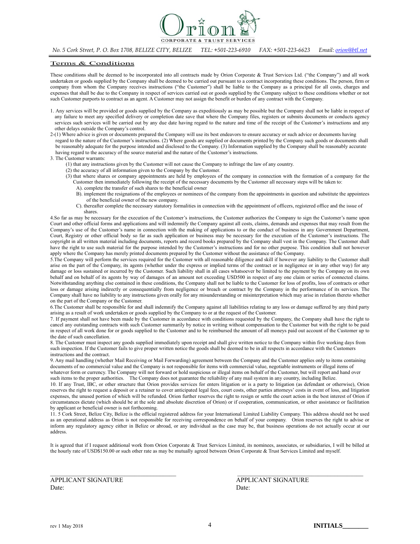

*No. 5 Cork Street, P. O. Box 1708, BELIZE CITY, BELIZE TEL: +501-223-6910 FAX: +501-223-6623 Email: orion@btl.net*

### Terms & Conditions

These conditions shall be deemed to be incorporated into all contracts made by Orion Corporate & Trust Services Ltd. ("the Company") and all work undertaken or goods supplied by the Company shall be deemed to be carried out pursuant to a contract incorporating these conditions. The person, firm or company from whom the Company receives instructions ("the Customer") shall be liable to the Company as a principal for all costs, charges and expenses that shall be due to the Company in respect of services carried out or goods supplied by the Company subject to these conditions whether or not such Customer purports to contract as an agent. A Customer may not assign the benefit or burden of any contract with the Company.

- 1. Any services will be provided or goods supplied by the Company as expeditiously as may be possible but the Company shall not be liable in respect of any failure to meet any specified delivery or completion date save that where the Company files, registers or submits documents or conducts agency services such services will be carried out by any due date having regard to the nature and time of the receipt of the Customer's instructions and any other delays outside the Company's control.
- 2-(1) Where advice is given or documents prepared the Company will use its best endeavors to ensure accuracy or such advice or documents having regard to the nature of the Customer's instructions. (2) Where goods are supplied or documents printed by the Company such goods or documents shall be reasonably adequate for the purpose intended and disclosed to the Company. (3) Information supplied by the Company shall be reasonably accurate having regard to the accuracy of the source material and the nature of the Customer's instructions.

#### 3. The Customer warrants:

- (1) that any instructions given by the Customer will not cause the Company to infringe the law of any country.
- (2) the accuracy of all information given to the Company by the Customer.
- (3) that where shares or company appointments are held by employees of the company in connection with the formation of a company for the Customer then immediately following the receipt of the necessary documents by the Customer all necessary steps will be taken to:
	- A). complete the transfer of such shares to the beneficial owner
	- B). implement the resignations of the employees or nominees of the company from the appointments in question and substitute the appointees of the beneficial owner of the new company.
	- C). thereafter complete the necessary statutory formalities in connection with the appointment of officers, registered office and the issue of shares.

4.So far as may be necessary for the execution of the Customer's instructions, the Customer authorizes the Company to sign the Customer's name upon Court and other official forms and applications and will indemnify the Company against all costs, claims, demands and expenses that may result from the Company's use of the Customer's name in connection with the making of applications to or the conduct of business in any Government Department, Court, Registry or other official body so far as such application or business may be necessary for the execution of the Customer's instructions. The copyright in all written material including documents, reports and record books prepared by the Company shall vest in the Company. The Customer shall have the right to use such material for the purpose intended by the Customer's instructions and for no other purpose. This condition shall not however apply where the Company has merely printed documents prepared by the Customer without the assistance of the Company.

5.The Company will perform the services required for the Customer with all reasonable diligence and skill if however any liability to the Customer shall arise on the part of the Company, its agents (whether under the express or implied terms of the contract or in negligence or in any other way) for any damage or loss sustained or incurred by the Customer. Such liability shall in all cases whatsoever be limited to the payment by the Company on its own behalf and on behalf of its agents by way of damages of an amount not exceeding USD500 in respect of any one claim or series of connected claims. Notwithstanding anything else contained in these conditions, the Company shall not be liable to the Customer for loss of profits, loss of contracts or other loss or damage arising indirectly or consequentially from negligence or breach or contract by the Company in the performance of its services. The Company shall have no liability to any instructions given orally for any misunderstanding or misinterpretation which may arise in relation thereto whether on the part of the Company or the Customer.

6.The Customer shall be responsible for and shall indemnify the Company against all liabilities relating to any loss or damage suffered by any third party arising as a result of work undertaken or goods supplied by the Company to or at the request of the Customer.

7. If payment shall not have been made by the Customer in accordance with conditions requested by the Company, the Company shall have the right to cancel any outstanding contracts with such Customer summarily by notice in writing without compensation to the Customer but with the right to be paid in respect of all work done for or goods supplied to the Customer and to be reimbursed the amount of all moneys paid out account of the Customer up to the date of such cancellation.

8. The Customer must inspect any goods supplied immediately upon receipt and shall give written notice to the Company within five working days from such inspection. If the Customer fails to give proper written notice the goods shall be deemed to be in all respects in accordance with the Customers instructions and the contract.

9. Any mail handling (whether Mail Receiving or Mail Forwarding) agreement between the Company and the Customer applies only to items containing documents of no commercial value and the Company is not responsible for items with commercial value, negotiable instruments or illegal items of whatever form or currency. The Company will not forward or hold suspicious or illegal items on behalf of the Customer, but will report and hand over such items to the proper authorities. The Company does not guarantee the reliability of any mail system in any country, including Belize.

10. If any Trust, IBC, or other structure that Orion provides services for enters litigation or is a party to litigation (as defendant or otherwise), Orion reserves the right to request a deposit or a retainer to cover anticipated legal fees, court costs, other parties attorneys' costs in event of loss, and litigation expenses, the unused portion of which will be refunded. Orion further reserves the right to resign or settle the court action in the best interest of Orion if circumstances dictate (which should be at the sole and absolute discretion of Orion) or if cooperation, communication, or other assistance or facilitation by applicant or beneficial owner is not forthcoming.

11. 5 Cork Street, Belize City, Belize is the official registered address for your International Limited Liability Company. This address should not be used as an operational address as Orion is not responsible for receiving correspondence on behalf of your company. Orion reserves the right to advise or inform any regulatory agency either in Belize or abroad, or any individual as the case may be, that business operations do not actually occur at our address.

It is agreed that if I request additional work from Orion Corporate & Trust Services Limited, its nominees, associates, or subsidiaries, I will be billed at the hourly rate of USD\$150.00 or such other rate as may be mutually agreed between Orion Corporate & Trust Services Limited and myself.

Date: Date:

**APPLICANT SIGNATURE APPLICANT SIGNATURE**